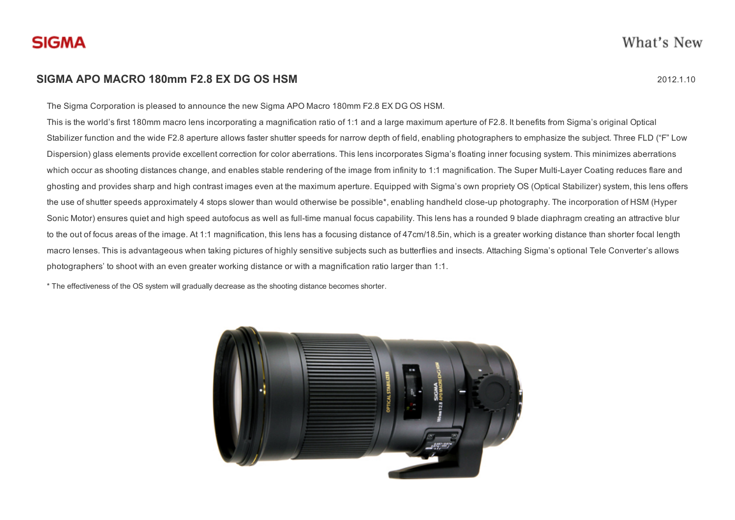

## SIGMA APO MACRO 180mm F2.8 EX DG OS HSM 2012 2012 1.10

The Sigma Corporation is pleased to announce the new Sigma APO Macro 180mm F2.8 EX DG OS HSM.

This is the world's first 180mm macro lens incorporating a magnification ratio of 1:1 and a large maximum aperture of F2.8. It benefits from Sigma's original Optical Stabilizer function and the wide F2.8 aperture allows faster shutter speeds for narrow depth of field, enabling photographers to emphasize the subject. Three FLD ("F" Low Dispersion) glass elements provide excellent correction for color aberrations. This lens incorporates Sigma's floating inner focusing system. This minimizes aberrations which occur as shooting distances change, and enables stable rendering of the image from infinity to 1:1 magnification. The Super Multi-Layer Coating reduces flare and ghosting and provides sharp and high contrast images even at the maximum aperture. Equipped with Sigma's own propriety OS (Optical Stabilizer) system, this lens offers the use of shutter speeds approximately 4 stops slower than would otherwise be possible<sup>\*</sup>, enabling handheld close-up photography. The incorporation of HSM (Hyper Sonic Motor) ensures quiet and high speed autofocus as well as full-time manual focus capability. This lens has a rounded 9 blade diaphragm creating an attractive blur to the out of focus areas of the image. At 1:1 magnification, this lens has a focusing distance of 47cm/18.5in, which is a greater working distance than shorter focal length macro lenses. This is advantageous when taking pictures of highly sensitive subjects such as butterflies and insects. Attaching Sigma's optional Tele Converter's allows photographers' to shoot with an even greater working distance or with a magnification ratio larger than 1:1.

\* The effectiveness of the OS system will gradually decrease as the shooting distance becomes shorter.